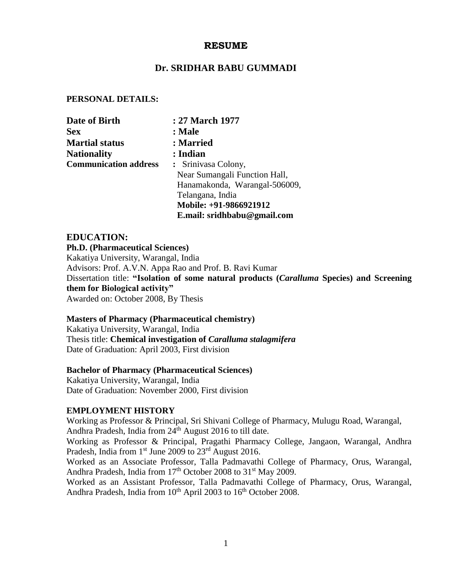### **RESUME**

### **Dr. SRIDHAR BABU GUMMADI**

### **PERSONAL DETAILS:**

| Date of Birth                | : 27 March 1977               |
|------------------------------|-------------------------------|
| <b>Sex</b>                   | : Male                        |
| <b>Martial status</b>        | : Married                     |
| <b>Nationality</b>           | : Indian                      |
| <b>Communication address</b> | : Srinivasa Colony,           |
|                              | Near Sumangali Function Hall, |
|                              | Hanamakonda, Warangal-506009, |
|                              | Telangana, India              |
|                              | Mobile: +91-9866921912        |
|                              | E.mail: sridhbabu@gmail.com   |

## **EDUCATION:**

**Ph.D. (Pharmaceutical Sciences)**  Kakatiya University, Warangal, India

Advisors: Prof. A.V.N. Appa Rao and Prof. B. Ravi Kumar Dissertation title: **"Isolation of some natural products (***Caralluma* **Species) and Screening them for Biological activity"** Awarded on: October 2008, By Thesis

#### **Masters of Pharmacy (Pharmaceutical chemistry)**

Kakatiya University, Warangal, India Thesis title: **Chemical investigation of** *Caralluma stalagmifera* Date of Graduation: April 2003, First division

#### **Bachelor of Pharmacy (Pharmaceutical Sciences)**

Kakatiya University, Warangal, India Date of Graduation: November 2000, First division

### **EMPLOYMENT HISTORY**

Working as Professor & Principal, Sri Shivani College of Pharmacy, Mulugu Road, Warangal, Andhra Pradesh, India from  $24<sup>th</sup>$  August 2016 to till date.

Working as Professor & Principal, Pragathi Pharmacy College, Jangaon, Warangal, Andhra Pradesh, India from  $1<sup>st</sup>$  June 2009 to  $23<sup>rd</sup>$  August 2016.

Worked as an Associate Professor, Talla Padmavathi College of Pharmacy, Orus, Warangal, Andhra Pradesh, India from 17<sup>th</sup> October 2008 to 31<sup>st</sup> May 2009.

Worked as an Assistant Professor, Talla Padmavathi College of Pharmacy, Orus, Warangal, Andhra Pradesh, India from 10<sup>th</sup> April 2003 to 16<sup>th</sup> October 2008.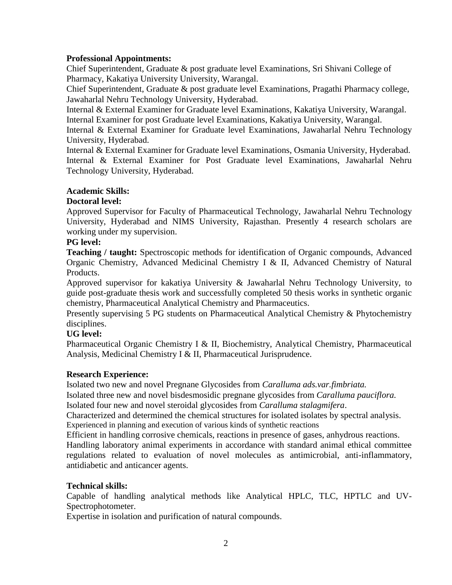### **Professional Appointments:**

Chief Superintendent, Graduate & post graduate level Examinations, Sri Shivani College of Pharmacy, Kakatiya University University, Warangal.

Chief Superintendent, Graduate & post graduate level Examinations, Pragathi Pharmacy college, Jawaharlal Nehru Technology University, Hyderabad.

Internal & External Examiner for Graduate level Examinations, Kakatiya University, Warangal. Internal Examiner for post Graduate level Examinations, Kakatiya University, Warangal.

Internal & External Examiner for Graduate level Examinations, Jawaharlal Nehru Technology University, Hyderabad.

Internal & External Examiner for Graduate level Examinations, Osmania University, Hyderabad. Internal & External Examiner for Post Graduate level Examinations, Jawaharlal Nehru Technology University, Hyderabad.

## **Academic Skills:**

## **Doctoral level:**

Approved Supervisor for Faculty of Pharmaceutical Technology, Jawaharlal Nehru Technology University, Hyderabad and NIMS University, Rajasthan. Presently 4 research scholars are working under my supervision.

## **PG level:**

**Teaching / taught:** Spectroscopic methods for identification of Organic compounds, Advanced Organic Chemistry, Advanced Medicinal Chemistry I & II, Advanced Chemistry of Natural Products.

Approved supervisor for kakatiya University & Jawaharlal Nehru Technology University, to guide post-graduate thesis work and successfully completed 50 thesis works in synthetic organic chemistry, Pharmaceutical Analytical Chemistry and Pharmaceutics.

Presently supervising 5 PG students on Pharmaceutical Analytical Chemistry & Phytochemistry disciplines.

# **UG level:**

Pharmaceutical Organic Chemistry I & II, Biochemistry, Analytical Chemistry, Pharmaceutical Analysis, Medicinal Chemistry I & II, Pharmaceutical Jurisprudence.

## **Research Experience:**

Isolated two new and novel Pregnane Glycosides from *Caralluma ads.var.fimbriata.*

Isolated three new and novel bisdesmosidic pregnane glycosides from *Caralluma pauciflora.* Isolated four new and novel steroidal glycosides from *Caralluma stalagmifera*.

Characterized and determined the chemical structures for isolated isolates by spectral analysis. Experienced in planning and execution of various kinds of synthetic reactions

Efficient in handling corrosive chemicals, reactions in presence of gases, anhydrous reactions. Handling laboratory animal experiments in accordance with standard animal ethical committee regulations related to evaluation of novel molecules as antimicrobial, anti-inflammatory,

## **Technical skills:**

antidiabetic and anticancer agents.

Capable of handling analytical methods like Analytical HPLC, TLC, HPTLC and UV-Spectrophotometer.

Expertise in isolation and purification of natural compounds.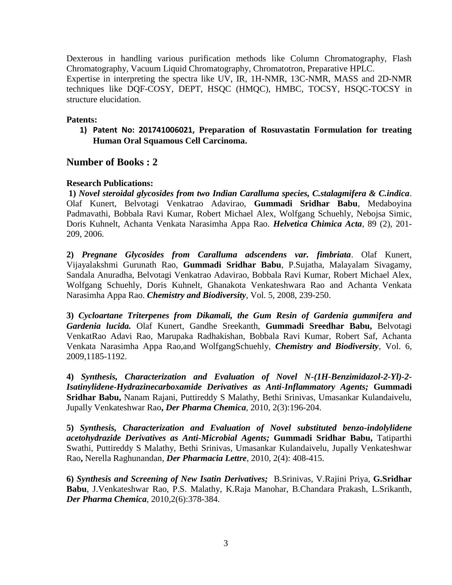Dexterous in handling various purification methods like Column Chromatography, Flash Chromatography, Vacuum Liquid Chromatography, Chromatotron, Preparative HPLC. Expertise in interpreting the spectra like UV, IR, 1H-NMR, 13C-NMR, MASS and 2D-NMR techniques like DQF-COSY, DEPT, HSQC (HMQC), HMBC, TOCSY, HSQC-TOCSY in structure elucidation.

#### **Patents:**

**1) Patent No: 201741006021, Preparation of Rosuvastatin Formulation for treating Human Oral Squamous Cell Carcinoma.**

### **Number of Books : 2**

#### **Research Publications:**

**1)** *Novel steroidal glycosides from two Indian Caralluma species, C.stalagmifera & C.indica*. Olaf Kunert, Belvotagi Venkatrao Adavirao, **Gummadi Sridhar Babu**, Medaboyina Padmavathi, Bobbala Ravi Kumar, Robert Michael Alex, Wolfgang Schuehly, Nebojsa Simic, Doris Kuhnelt, Achanta Venkata Narasimha Appa Rao. *Helvetica Chimica Acta*, 89 (2), 201- 209, 2006.

**2)** *Pregnane Glycosides from Caralluma adscendens var. fimbriata*. Olaf Kunert, Vijayalakshmi Gurunath Rao, **Gummadi Sridhar Babu**, P.Sujatha, Malayalam Sivagamy, Sandala Anuradha, Belvotagi Venkatrao Adavirao, Bobbala Ravi Kumar, Robert Michael Alex, Wolfgang Schuehly, Doris Kuhnelt, Ghanakota Venkateshwara Rao and Achanta Venkata Narasimha Appa Rao. *Chemistry and Biodiversity*, Vol. 5, 2008, 239-250.

**3)** *Cycloartane Triterpenes from Dikamali, the Gum Resin of Gardenia gummifera and Gardenia lucida.* Olaf Kunert, Gandhe Sreekanth, **Gummadi Sreedhar Babu,** Belvotagi VenkatRao Adavi Rao, Marupaka Radhakishan, Bobbala Ravi Kumar, Robert Saf, Achanta Venkata Narasimha Appa Rao,and WolfgangSchuehly, *Chemistry and Biodiversity*, Vol. 6, 2009,1185-1192.

**4)** *Synthesis, Characterization and Evaluation of Novel N-(1H-Benzimidazol-2-Yl)-2- Isatinylidene-Hydrazinecarboxamide Derivatives as Anti-Inflammatory Agents;* **Gummadi Sridhar Babu,** Nanam Rajani, Puttireddy S Malathy, Bethi Srinivas, Umasankar Kulandaivelu, Jupally Venkateshwar Rao**,** *Der Pharma Chemica*, 2010, 2(3):196-204.

**5)** *Synthesis, Characterization and Evaluation of Novel substituted benzo-indolylidene acetohydrazide Derivatives as Anti-Microbial Agents;* **Gummadi Sridhar Babu,** Tatiparthi Swathi, Puttireddy S Malathy, Bethi Srinivas, Umasankar Kulandaivelu, Jupally Venkateshwar Rao**,** Nerella Raghunandan, *Der Pharmacia Lettre*, 2010, 2(4): 408-415.

**6)** *Synthesis and Screening of New Isatin Derivatives;* B.Srinivas, V.Rajini Priya, **G.Sridhar Babu**, J.Venkateshwar Rao, P.S. Malathy, K.Raja Manohar, B.Chandara Prakash, L.Srikanth, *Der Pharma Chemica*, 2010,2(6):378-384.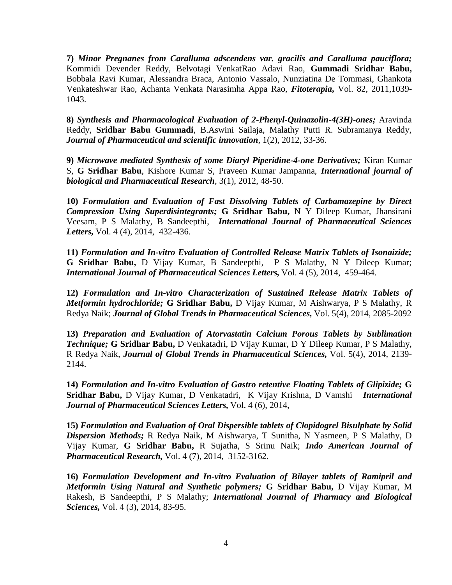**7)** *Minor Pregnanes from Caralluma adscendens var. gracilis and Caralluma pauciflora;* Kommidi Devender Reddy, Belvotagi VenkatRao Adavi Rao, **Gummadi Sridhar Babu,** Bobbala Ravi Kumar, Alessandra Braca, Antonio Vassalo, Nunziatina De Tommasi, Ghankota Venkateshwar Rao, Achanta Venkata Narasimha Appa Rao, *Fitoterapia***,** Vol. 82, 2011,1039- 1043.

**8)** *Synthesis and Pharmacological Evaluation of 2-Phenyl-Quinazolin-4(3H)-ones;* Aravinda Reddy, **Sridhar Babu Gummadi**, B.Aswini Sailaja, Malathy Putti R. Subramanya Reddy, *Journal of Pharmaceutical and scientific innovation,* 1(2), 2012, 33-36.

**9)** *Microwave mediated Synthesis of some Diaryl Piperidine-4-one Derivatives;* Kiran Kumar S, **G Sridhar Babu**, Kishore Kumar S, Praveen Kumar Jampanna, *International journal of biological and Pharmaceutical Research,* 3(1), 2012, 48-50.

**10)** *Formulation and Evaluation of Fast Dissolving Tablets of Carbamazepine by Direct Compression Using Superdisintegrants;* **G Sridhar Babu,** N Y Dileep Kumar, Jhansirani Veesam, P S Malathy, B Sandeepthi, *International Journal of Pharmaceutical Sciences Letters,* Vol. 4 (4), 2014, 432-436.

**11)** *Formulation and In-vitro Evaluation of Controlled Release Matrix Tablets of Isonaizide;*  **G Sridhar Babu,** D Vijay Kumar, B Sandeepthi, P S Malathy, N Y Dileep Kumar; *International Journal of Pharmaceutical Sciences Letters,* Vol. 4 (5), 2014, 459-464.

**12)** *Formulation and In-vitro Characterization of Sustained Release Matrix Tablets of Metformin hydrochloride;* **G Sridhar Babu,** D Vijay Kumar, M Aishwarya, P S Malathy, R Redya Naik; *Journal of Global Trends in Pharmaceutical Sciences,* Vol. 5(4), 2014, 2085-2092

**13)** *Preparation and Evaluation of Atorvastatin Calcium Porous Tablets by Sublimation Technique;* **G Sridhar Babu,** D Venkatadri, D Vijay Kumar, D Y Dileep Kumar, P S Malathy, R Redya Naik, *Journal of Global Trends in Pharmaceutical Sciences,* Vol. 5(4), 2014, 2139- 2144.

**14)** *Formulation and In-vitro Evaluation of Gastro retentive Floating Tablets of Glipizide;* **G Sridhar Babu,** D Vijay Kumar, D Venkatadri, K Vijay Krishna, D Vamshi *International Journal of Pharmaceutical Sciences Letters,* Vol. 4 (6), 2014,

**15)** *Formulation and Evaluation of Oral Dispersible tablets of Clopidogrel Bisulphate by Solid Dispersion Methods;* R Redya Naik, M Aishwarya, T Sunitha, N Yasmeen, P S Malathy, D Vijay Kumar, **G Sridhar Babu,** R Sujatha, S Srinu Naik; *Indo American Journal of Pharmaceutical Research,* Vol. 4 (7), 2014, 3152-3162.

**16)** *Formulation Development and In-vitro Evaluation of Bilayer tablets of Ramipril and Metformin Using Natural and Synthetic polymers;* **G Sridhar Babu,** D Vijay Kumar, M Rakesh, B Sandeepthi, P S Malathy; *International Journal of Pharmacy and Biological Sciences,* Vol. 4 (3), 2014, 83-95.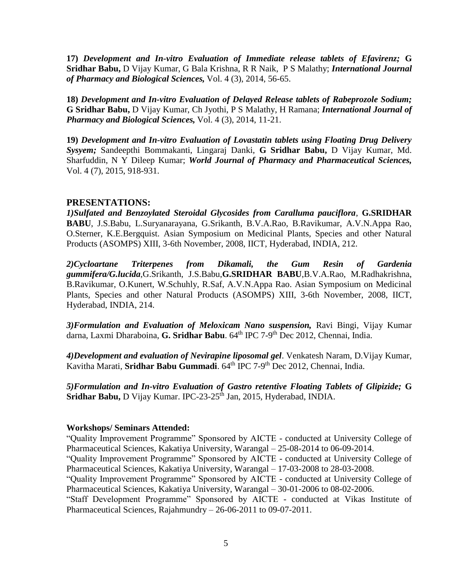**17)** *Development and In-vitro Evaluation of Immediate release tablets of Efavirenz;* **G Sridhar Babu,** D Vijay Kumar, G Bala Krishna, R R Naik, P S Malathy; *International Journal of Pharmacy and Biological Sciences,* Vol. 4 (3), 2014, 56-65.

**18)** *Development and In-vitro Evaluation of Delayed Release tablets of Rabeprozole Sodium;*  **G Sridhar Babu,** D Vijay Kumar, Ch Jyothi, P S Malathy, H Ramana; *International Journal of Pharmacy and Biological Sciences,* Vol. 4 (3), 2014, 11-21.

**19)** *Development and In-vitro Evaluation of Lovastatin tablets using Floating Drug Delivery Sysyem;* Sandeepthi Bommakanti, Lingaraj Danki, **G Sridhar Babu,** D Vijay Kumar, Md. Sharfuddin, N Y Dileep Kumar; *World Journal of Pharmacy and Pharmaceutical Sciences,* Vol. 4 (7), 2015, 918-931.

### **PRESENTATIONS:**

*1)Sulfated and Benzoylated Steroidal Glycosides from Caralluma pauciflora*, **G.SRIDHAR BABU**, J.S.Babu, L.Suryanarayana, G.Srikanth, B.V.A.Rao, B.Ravikumar, A.V.N.Appa Rao, O.Sterner, K.E.Bergquist. Asian Symposium on Medicinal Plants, Species and other Natural Products (ASOMPS) XIII, 3-6th November, 2008, IICT, Hyderabad, INDIA, 212.

*2)Cycloartane Triterpenes from Dikamali, the Gum Resin of Gardenia gummifera/G.lucida*,G.Srikanth, J.S.Babu,**G.SRIDHAR BABU**,B.V.A.Rao, M.Radhakrishna, B.Ravikumar, O.Kunert, W.Schuhly, R.Saf, A.V.N.Appa Rao. Asian Symposium on Medicinal Plants, Species and other Natural Products (ASOMPS) XIII, 3-6th November, 2008, IICT, Hyderabad, INDIA, 214.

*3)Formulation and Evaluation of Meloxicam Nano suspension,* Ravi Bingi, Vijay Kumar darna, Laxmi Dharaboina, **G. Sridhar Babu**. 64<sup>th</sup> IPC 7-9<sup>th</sup> Dec 2012, Chennai, India.

*4)Development and evaluation of Nevirapine liposomal gel*. Venkatesh Naram, D.Vijay Kumar, Kavitha Marati, **Sridhar Babu Gummadi**. 64<sup>th</sup> IPC 7-9<sup>th</sup> Dec 2012, Chennai, India.

*5)Formulation and In-vitro Evaluation of Gastro retentive Floating Tablets of Glipizide;* **G**  Sridhar Babu, D Vijay Kumar. IPC-23-25<sup>th</sup> Jan, 2015, Hyderabad, INDIA.

#### **Workshops/ Seminars Attended:**

"Quality Improvement Programme" Sponsored by AICTE - conducted at University College of Pharmaceutical Sciences, Kakatiya University, Warangal – 25-08-2014 to 06-09-2014.

"Quality Improvement Programme" Sponsored by AICTE - conducted at University College of Pharmaceutical Sciences, Kakatiya University, Warangal – 17-03-2008 to 28-03-2008.

"Quality Improvement Programme" Sponsored by AICTE - conducted at University College of Pharmaceutical Sciences, Kakatiya University, Warangal – 30-01-2006 to 08-02-2006.

"Staff Development Programme" Sponsored by AICTE - conducted at Vikas Institute of Pharmaceutical Sciences, Rajahmundry – 26-06-2011 to 09-07-2011.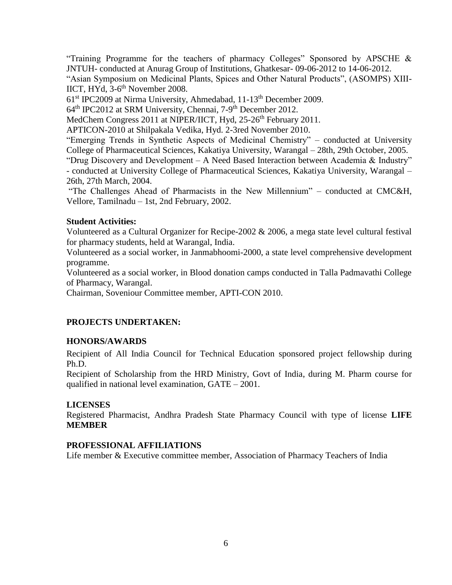"Training Programme for the teachers of pharmacy Colleges" Sponsored by APSCHE  $\&$ JNTUH- conducted at Anurag Group of Institutions, Ghatkesar- 09-06-2012 to 14-06-2012. "Asian Symposium on Medicinal Plants, Spices and Other Natural Products", (ASOMPS) XIII-IICT, HYd, 3-6<sup>th</sup> November 2008.

61st IPC2009 at Nirma University, Ahmedabad, 11-13th December 2009.

64<sup>th</sup> IPC2012 at SRM University, Chennai, 7-9<sup>th</sup> December 2012.

MedChem Congress 2011 at NIPER/IICT, Hyd, 25-26<sup>th</sup> February 2011.

APTICON-2010 at Shilpakala Vedika, Hyd. 2-3red November 2010.

"Emerging Trends in Synthetic Aspects of Medicinal Chemistry" – conducted at University College of Pharmaceutical Sciences, Kakatiya University, Warangal – 28th, 29th October, 2005.

"Drug Discovery and Development – A Need Based Interaction between Academia & Industry" - conducted at University College of Pharmaceutical Sciences, Kakatiya University, Warangal – 26th, 27th March, 2004.

"The Challenges Ahead of Pharmacists in the New Millennium" – conducted at CMC&H, Vellore, Tamilnadu – 1st, 2nd February, 2002.

### **Student Activities:**

Volunteered as a Cultural Organizer for Recipe-2002 & 2006, a mega state level cultural festival for pharmacy students, held at Warangal, India.

Volunteered as a social worker, in Janmabhoomi-2000, a state level comprehensive development programme.

Volunteered as a social worker, in Blood donation camps conducted in Talla Padmavathi College of Pharmacy, Warangal.

Chairman, Soveniour Committee member, APTI-CON 2010.

## **PROJECTS UNDERTAKEN:**

## **HONORS/AWARDS**

Recipient of All India Council for Technical Education sponsored project fellowship during Ph.D.

Recipient of Scholarship from the HRD Ministry, Govt of India, during M. Pharm course for qualified in national level examination, GATE – 2001.

## **LICENSES**

Registered Pharmacist, Andhra Pradesh State Pharmacy Council with type of license **LIFE MEMBER**

## **PROFESSIONAL AFFILIATIONS**

Life member & Executive committee member, Association of Pharmacy Teachers of India